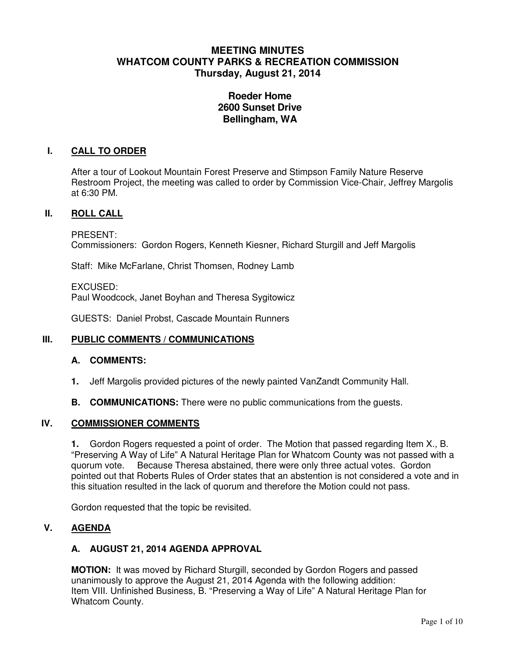# **MEETING MINUTES WHATCOM COUNTY PARKS & RECREATION COMMISSION Thursday, August 21, 2014**

# **Roeder Home 2600 Sunset Drive Bellingham, WA**

### **I. CALL TO ORDER**

After a tour of Lookout Mountain Forest Preserve and Stimpson Family Nature Reserve Restroom Project, the meeting was called to order by Commission Vice-Chair, Jeffrey Margolis at 6:30 PM.

#### **II. ROLL CALL**

PRESENT:

Commissioners: Gordon Rogers, Kenneth Kiesner, Richard Sturgill and Jeff Margolis

Staff: Mike McFarlane, Christ Thomsen, Rodney Lamb

EXCUSED: Paul Woodcock, Janet Boyhan and Theresa Sygitowicz

GUESTS: Daniel Probst, Cascade Mountain Runners

#### **III. PUBLIC COMMENTS / COMMUNICATIONS**

#### **A. COMMENTS:**

- **1.** Jeff Margolis provided pictures of the newly painted VanZandt Community Hall.
- **B. COMMUNICATIONS:** There were no public communications from the quests.

#### **IV. COMMISSIONER COMMENTS**

**1.** Gordon Rogers requested a point of order. The Motion that passed regarding Item X., B. "Preserving A Way of Life" A Natural Heritage Plan for Whatcom County was not passed with a quorum vote. Because Theresa abstained, there were only three actual votes. Gordon pointed out that Roberts Rules of Order states that an abstention is not considered a vote and in this situation resulted in the lack of quorum and therefore the Motion could not pass.

Gordon requested that the topic be revisited.

## **V. AGENDA**

## **A. AUGUST 21, 2014 AGENDA APPROVAL**

**MOTION:** It was moved by Richard Sturgill, seconded by Gordon Rogers and passed unanimously to approve the August 21, 2014 Agenda with the following addition: Item VIII. Unfinished Business, B. "Preserving a Way of Life" A Natural Heritage Plan for Whatcom County.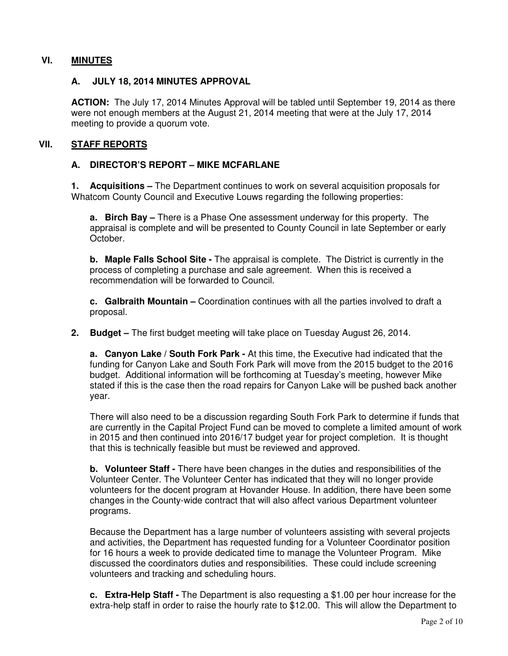## **VI. MINUTES**

### **A. JULY 18, 2014 MINUTES APPROVAL**

**ACTION:** The July 17, 2014 Minutes Approval will be tabled until September 19, 2014 as there were not enough members at the August 21, 2014 meeting that were at the July 17, 2014 meeting to provide a quorum vote.

### **VII. STAFF REPORTS**

#### **A. DIRECTOR'S REPORT – MIKE MCFARLANE**

**1. Acquisitions –** The Department continues to work on several acquisition proposals for Whatcom County Council and Executive Louws regarding the following properties:

**a. Birch Bay –** There is a Phase One assessment underway for this property. The appraisal is complete and will be presented to County Council in late September or early October.

**b. Maple Falls School Site -** The appraisal is complete. The District is currently in the process of completing a purchase and sale agreement. When this is received a recommendation will be forwarded to Council.

**c. Galbraith Mountain –** Coordination continues with all the parties involved to draft a proposal.

**2. Budget –** The first budget meeting will take place on Tuesday August 26, 2014.

**a. Canyon Lake / South Fork Park -** At this time, the Executive had indicated that the funding for Canyon Lake and South Fork Park will move from the 2015 budget to the 2016 budget. Additional information will be forthcoming at Tuesday's meeting, however Mike stated if this is the case then the road repairs for Canyon Lake will be pushed back another year.

There will also need to be a discussion regarding South Fork Park to determine if funds that are currently in the Capital Project Fund can be moved to complete a limited amount of work in 2015 and then continued into 2016/17 budget year for project completion. It is thought that this is technically feasible but must be reviewed and approved.

**b. Volunteer Staff -** There have been changes in the duties and responsibilities of the Volunteer Center. The Volunteer Center has indicated that they will no longer provide volunteers for the docent program at Hovander House. In addition, there have been some changes in the County-wide contract that will also affect various Department volunteer programs.

Because the Department has a large number of volunteers assisting with several projects and activities, the Department has requested funding for a Volunteer Coordinator position for 16 hours a week to provide dedicated time to manage the Volunteer Program. Mike discussed the coordinators duties and responsibilities. These could include screening volunteers and tracking and scheduling hours.

**c. Extra-Help Staff -** The Department is also requesting a \$1.00 per hour increase for the extra-help staff in order to raise the hourly rate to \$12.00. This will allow the Department to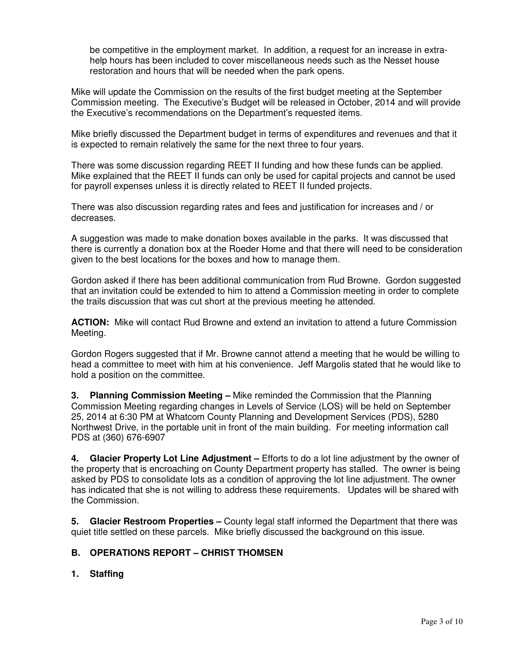be competitive in the employment market. In addition, a request for an increase in extrahelp hours has been included to cover miscellaneous needs such as the Nesset house restoration and hours that will be needed when the park opens.

Mike will update the Commission on the results of the first budget meeting at the September Commission meeting. The Executive's Budget will be released in October, 2014 and will provide the Executive's recommendations on the Department's requested items.

Mike briefly discussed the Department budget in terms of expenditures and revenues and that it is expected to remain relatively the same for the next three to four years.

There was some discussion regarding REET II funding and how these funds can be applied. Mike explained that the REET II funds can only be used for capital projects and cannot be used for payroll expenses unless it is directly related to REET II funded projects.

There was also discussion regarding rates and fees and justification for increases and / or decreases.

A suggestion was made to make donation boxes available in the parks. It was discussed that there is currently a donation box at the Roeder Home and that there will need to be consideration given to the best locations for the boxes and how to manage them.

Gordon asked if there has been additional communication from Rud Browne. Gordon suggested that an invitation could be extended to him to attend a Commission meeting in order to complete the trails discussion that was cut short at the previous meeting he attended.

**ACTION:** Mike will contact Rud Browne and extend an invitation to attend a future Commission Meeting.

Gordon Rogers suggested that if Mr. Browne cannot attend a meeting that he would be willing to head a committee to meet with him at his convenience. Jeff Margolis stated that he would like to hold a position on the committee.

**3. Planning Commission Meeting –** Mike reminded the Commission that the Planning Commission Meeting regarding changes in Levels of Service (LOS) will be held on September 25, 2014 at 6:30 PM at Whatcom County Planning and Development Services (PDS), 5280 Northwest Drive, in the portable unit in front of the main building. For meeting information call PDS at (360) 676-6907

**4. Glacier Property Lot Line Adjustment –** Efforts to do a lot line adjustment by the owner of the property that is encroaching on County Department property has stalled. The owner is being asked by PDS to consolidate lots as a condition of approving the lot line adjustment. The owner has indicated that she is not willing to address these requirements. Updates will be shared with the Commission.

**5. Glacier Restroom Properties –** County legal staff informed the Department that there was quiet title settled on these parcels. Mike briefly discussed the background on this issue.

## **B. OPERATIONS REPORT – CHRIST THOMSEN**

**1. Staffing**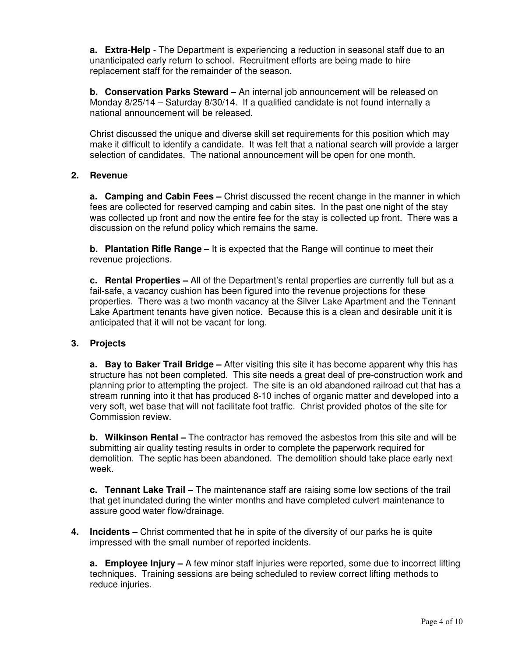**a. Extra-Help** - The Department is experiencing a reduction in seasonal staff due to an unanticipated early return to school. Recruitment efforts are being made to hire replacement staff for the remainder of the season.

**b. Conservation Parks Steward –** An internal job announcement will be released on Monday 8/25/14 – Saturday 8/30/14. If a qualified candidate is not found internally a national announcement will be released.

Christ discussed the unique and diverse skill set requirements for this position which may make it difficult to identify a candidate. It was felt that a national search will provide a larger selection of candidates. The national announcement will be open for one month.

## **2. Revenue**

**a. Camping and Cabin Fees –** Christ discussed the recent change in the manner in which fees are collected for reserved camping and cabin sites. In the past one night of the stay was collected up front and now the entire fee for the stay is collected up front. There was a discussion on the refund policy which remains the same.

**b. Plantation Rifle Range –** It is expected that the Range will continue to meet their revenue projections.

**c. Rental Properties –** All of the Department's rental properties are currently full but as a fail-safe, a vacancy cushion has been figured into the revenue projections for these properties. There was a two month vacancy at the Silver Lake Apartment and the Tennant Lake Apartment tenants have given notice. Because this is a clean and desirable unit it is anticipated that it will not be vacant for long.

## **3. Projects**

**a. Bay to Baker Trail Bridge –** After visiting this site it has become apparent why this has structure has not been completed. This site needs a great deal of pre-construction work and planning prior to attempting the project. The site is an old abandoned railroad cut that has a stream running into it that has produced 8-10 inches of organic matter and developed into a very soft, wet base that will not facilitate foot traffic. Christ provided photos of the site for Commission review.

**b. Wilkinson Rental –** The contractor has removed the asbestos from this site and will be submitting air quality testing results in order to complete the paperwork required for demolition. The septic has been abandoned. The demolition should take place early next week.

**c. Tennant Lake Trail –** The maintenance staff are raising some low sections of the trail that get inundated during the winter months and have completed culvert maintenance to assure good water flow/drainage.

**4. Incidents –** Christ commented that he in spite of the diversity of our parks he is quite impressed with the small number of reported incidents.

**a. Employee Injury –** A few minor staff injuries were reported, some due to incorrect lifting techniques. Training sessions are being scheduled to review correct lifting methods to reduce injuries.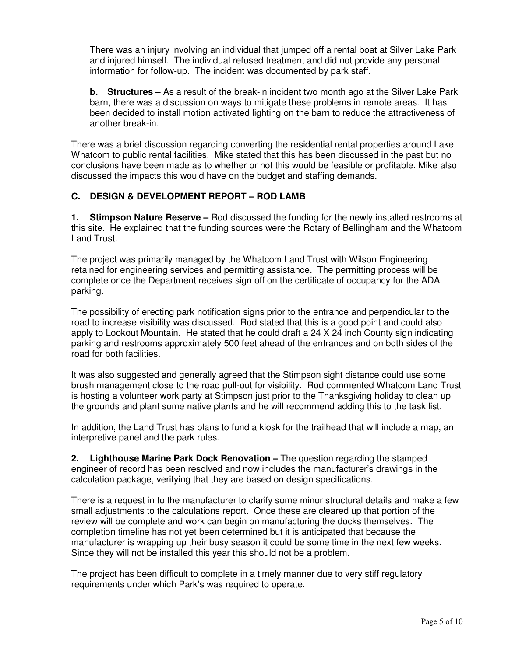There was an injury involving an individual that jumped off a rental boat at Silver Lake Park and injured himself. The individual refused treatment and did not provide any personal information for follow-up. The incident was documented by park staff.

**b. Structures –** As a result of the break-in incident two month ago at the Silver Lake Park barn, there was a discussion on ways to mitigate these problems in remote areas. It has been decided to install motion activated lighting on the barn to reduce the attractiveness of another break-in.

There was a brief discussion regarding converting the residential rental properties around Lake Whatcom to public rental facilities. Mike stated that this has been discussed in the past but no conclusions have been made as to whether or not this would be feasible or profitable. Mike also discussed the impacts this would have on the budget and staffing demands.

# **C. DESIGN & DEVELOPMENT REPORT – ROD LAMB**

**1. Stimpson Nature Reserve –** Rod discussed the funding for the newly installed restrooms at this site. He explained that the funding sources were the Rotary of Bellingham and the Whatcom Land Trust.

The project was primarily managed by the Whatcom Land Trust with Wilson Engineering retained for engineering services and permitting assistance. The permitting process will be complete once the Department receives sign off on the certificate of occupancy for the ADA parking.

The possibility of erecting park notification signs prior to the entrance and perpendicular to the road to increase visibility was discussed. Rod stated that this is a good point and could also apply to Lookout Mountain. He stated that he could draft a 24 X 24 inch County sign indicating parking and restrooms approximately 500 feet ahead of the entrances and on both sides of the road for both facilities.

It was also suggested and generally agreed that the Stimpson sight distance could use some brush management close to the road pull-out for visibility. Rod commented Whatcom Land Trust is hosting a volunteer work party at Stimpson just prior to the Thanksgiving holiday to clean up the grounds and plant some native plants and he will recommend adding this to the task list.

In addition, the Land Trust has plans to fund a kiosk for the trailhead that will include a map, an interpretive panel and the park rules.

**2. Lighthouse Marine Park Dock Renovation –** The question regarding the stamped engineer of record has been resolved and now includes the manufacturer's drawings in the calculation package, verifying that they are based on design specifications.

There is a request in to the manufacturer to clarify some minor structural details and make a few small adjustments to the calculations report. Once these are cleared up that portion of the review will be complete and work can begin on manufacturing the docks themselves. The completion timeline has not yet been determined but it is anticipated that because the manufacturer is wrapping up their busy season it could be some time in the next few weeks. Since they will not be installed this year this should not be a problem.

The project has been difficult to complete in a timely manner due to very stiff regulatory requirements under which Park's was required to operate.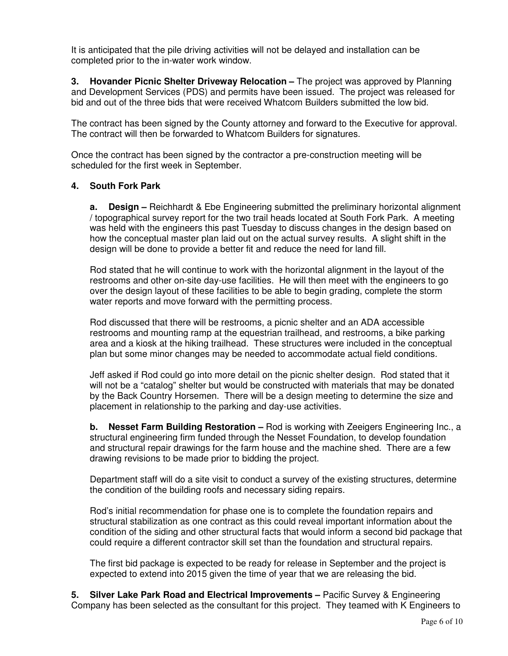It is anticipated that the pile driving activities will not be delayed and installation can be completed prior to the in-water work window.

**3. Hovander Picnic Shelter Driveway Relocation –** The project was approved by Planning and Development Services (PDS) and permits have been issued. The project was released for bid and out of the three bids that were received Whatcom Builders submitted the low bid.

The contract has been signed by the County attorney and forward to the Executive for approval. The contract will then be forwarded to Whatcom Builders for signatures.

Once the contract has been signed by the contractor a pre-construction meeting will be scheduled for the first week in September.

#### **4. South Fork Park**

**a. Design –** Reichhardt & Ebe Engineering submitted the preliminary horizontal alignment / topographical survey report for the two trail heads located at South Fork Park. A meeting was held with the engineers this past Tuesday to discuss changes in the design based on how the conceptual master plan laid out on the actual survey results. A slight shift in the design will be done to provide a better fit and reduce the need for land fill.

Rod stated that he will continue to work with the horizontal alignment in the layout of the restrooms and other on-site day-use facilities. He will then meet with the engineers to go over the design layout of these facilities to be able to begin grading, complete the storm water reports and move forward with the permitting process.

Rod discussed that there will be restrooms, a picnic shelter and an ADA accessible restrooms and mounting ramp at the equestrian trailhead, and restrooms, a bike parking area and a kiosk at the hiking trailhead. These structures were included in the conceptual plan but some minor changes may be needed to accommodate actual field conditions.

Jeff asked if Rod could go into more detail on the picnic shelter design. Rod stated that it will not be a "catalog" shelter but would be constructed with materials that may be donated by the Back Country Horsemen. There will be a design meeting to determine the size and placement in relationship to the parking and day-use activities.

**b. Nesset Farm Building Restoration –** Rod is working with Zeeigers Engineering Inc., a structural engineering firm funded through the Nesset Foundation, to develop foundation and structural repair drawings for the farm house and the machine shed. There are a few drawing revisions to be made prior to bidding the project.

Department staff will do a site visit to conduct a survey of the existing structures, determine the condition of the building roofs and necessary siding repairs.

Rod's initial recommendation for phase one is to complete the foundation repairs and structural stabilization as one contract as this could reveal important information about the condition of the siding and other structural facts that would inform a second bid package that could require a different contractor skill set than the foundation and structural repairs.

The first bid package is expected to be ready for release in September and the project is expected to extend into 2015 given the time of year that we are releasing the bid.

**5. Silver Lake Park Road and Electrical Improvements –** Pacific Survey & Engineering Company has been selected as the consultant for this project. They teamed with K Engineers to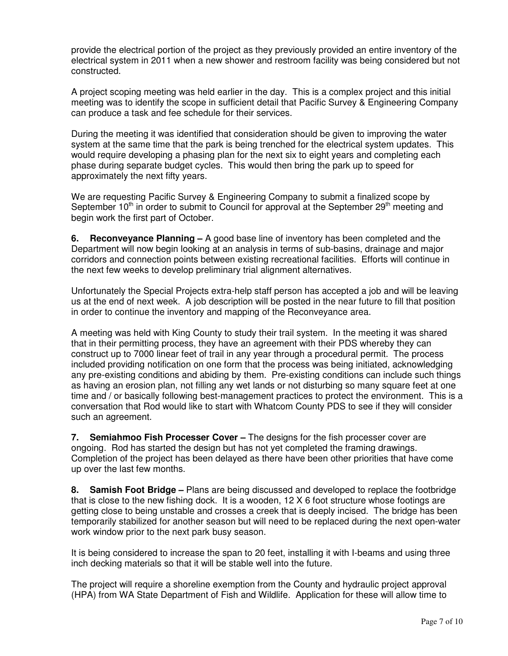provide the electrical portion of the project as they previously provided an entire inventory of the electrical system in 2011 when a new shower and restroom facility was being considered but not constructed.

A project scoping meeting was held earlier in the day. This is a complex project and this initial meeting was to identify the scope in sufficient detail that Pacific Survey & Engineering Company can produce a task and fee schedule for their services.

During the meeting it was identified that consideration should be given to improving the water system at the same time that the park is being trenched for the electrical system updates. This would require developing a phasing plan for the next six to eight years and completing each phase during separate budget cycles. This would then bring the park up to speed for approximately the next fifty years.

We are requesting Pacific Survey & Engineering Company to submit a finalized scope by September  $10<sup>th</sup>$  in order to submit to Council for approval at the September  $29<sup>th</sup>$  meeting and begin work the first part of October.

**6. Reconveyance Planning –** A good base line of inventory has been completed and the Department will now begin looking at an analysis in terms of sub-basins, drainage and major corridors and connection points between existing recreational facilities. Efforts will continue in the next few weeks to develop preliminary trial alignment alternatives.

Unfortunately the Special Projects extra-help staff person has accepted a job and will be leaving us at the end of next week. A job description will be posted in the near future to fill that position in order to continue the inventory and mapping of the Reconveyance area.

A meeting was held with King County to study their trail system. In the meeting it was shared that in their permitting process, they have an agreement with their PDS whereby they can construct up to 7000 linear feet of trail in any year through a procedural permit. The process included providing notification on one form that the process was being initiated, acknowledging any pre-existing conditions and abiding by them. Pre-existing conditions can include such things as having an erosion plan, not filling any wet lands or not disturbing so many square feet at one time and / or basically following best-management practices to protect the environment. This is a conversation that Rod would like to start with Whatcom County PDS to see if they will consider such an agreement.

**7. Semiahmoo Fish Processer Cover –** The designs for the fish processer cover are ongoing. Rod has started the design but has not yet completed the framing drawings. Completion of the project has been delayed as there have been other priorities that have come up over the last few months.

**8. Samish Foot Bridge –** Plans are being discussed and developed to replace the footbridge that is close to the new fishing dock. It is a wooden, 12 X 6 foot structure whose footings are getting close to being unstable and crosses a creek that is deeply incised. The bridge has been temporarily stabilized for another season but will need to be replaced during the next open-water work window prior to the next park busy season.

It is being considered to increase the span to 20 feet, installing it with I-beams and using three inch decking materials so that it will be stable well into the future.

The project will require a shoreline exemption from the County and hydraulic project approval (HPA) from WA State Department of Fish and Wildlife. Application for these will allow time to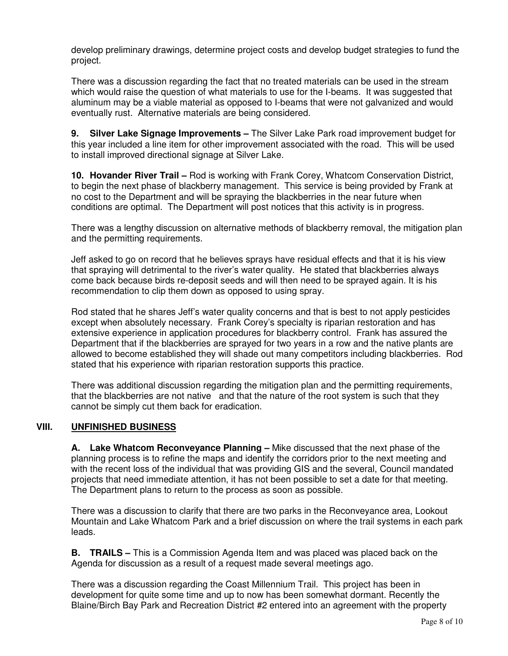develop preliminary drawings, determine project costs and develop budget strategies to fund the project.

There was a discussion regarding the fact that no treated materials can be used in the stream which would raise the question of what materials to use for the I-beams. It was suggested that aluminum may be a viable material as opposed to I-beams that were not galvanized and would eventually rust. Alternative materials are being considered.

**9. Silver Lake Signage Improvements –** The Silver Lake Park road improvement budget for this year included a line item for other improvement associated with the road. This will be used to install improved directional signage at Silver Lake.

**10. Hovander River Trail –** Rod is working with Frank Corey, Whatcom Conservation District, to begin the next phase of blackberry management. This service is being provided by Frank at no cost to the Department and will be spraying the blackberries in the near future when conditions are optimal. The Department will post notices that this activity is in progress.

There was a lengthy discussion on alternative methods of blackberry removal, the mitigation plan and the permitting requirements.

Jeff asked to go on record that he believes sprays have residual effects and that it is his view that spraying will detrimental to the river's water quality. He stated that blackberries always come back because birds re-deposit seeds and will then need to be sprayed again. It is his recommendation to clip them down as opposed to using spray.

Rod stated that he shares Jeff's water quality concerns and that is best to not apply pesticides except when absolutely necessary. Frank Corey's specialty is riparian restoration and has extensive experience in application procedures for blackberry control. Frank has assured the Department that if the blackberries are sprayed for two years in a row and the native plants are allowed to become established they will shade out many competitors including blackberries. Rod stated that his experience with riparian restoration supports this practice.

There was additional discussion regarding the mitigation plan and the permitting requirements, that the blackberries are not native and that the nature of the root system is such that they cannot be simply cut them back for eradication.

# **VIII. UNFINISHED BUSINESS**

**A. Lake Whatcom Reconveyance Planning –** Mike discussed that the next phase of the planning process is to refine the maps and identify the corridors prior to the next meeting and with the recent loss of the individual that was providing GIS and the several, Council mandated projects that need immediate attention, it has not been possible to set a date for that meeting. The Department plans to return to the process as soon as possible.

There was a discussion to clarify that there are two parks in the Reconveyance area, Lookout Mountain and Lake Whatcom Park and a brief discussion on where the trail systems in each park leads.

**B. TRAILS –** This is a Commission Agenda Item and was placed was placed back on the Agenda for discussion as a result of a request made several meetings ago.

There was a discussion regarding the Coast Millennium Trail. This project has been in development for quite some time and up to now has been somewhat dormant. Recently the Blaine/Birch Bay Park and Recreation District #2 entered into an agreement with the property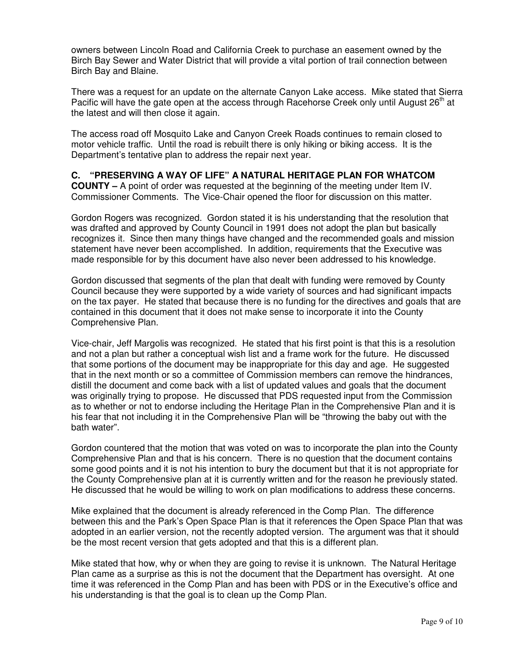owners between Lincoln Road and California Creek to purchase an easement owned by the Birch Bay Sewer and Water District that will provide a vital portion of trail connection between Birch Bay and Blaine.

There was a request for an update on the alternate Canyon Lake access. Mike stated that Sierra Pacific will have the gate open at the access through Racehorse Creek only until August 26<sup>th</sup> at the latest and will then close it again.

The access road off Mosquito Lake and Canyon Creek Roads continues to remain closed to motor vehicle traffic. Until the road is rebuilt there is only hiking or biking access. It is the Department's tentative plan to address the repair next year.

# **C. "PRESERVING A WAY OF LIFE" A NATURAL HERITAGE PLAN FOR WHATCOM**

**COUNTY –** A point of order was requested at the beginning of the meeting under Item IV. Commissioner Comments. The Vice-Chair opened the floor for discussion on this matter.

Gordon Rogers was recognized. Gordon stated it is his understanding that the resolution that was drafted and approved by County Council in 1991 does not adopt the plan but basically recognizes it. Since then many things have changed and the recommended goals and mission statement have never been accomplished. In addition, requirements that the Executive was made responsible for by this document have also never been addressed to his knowledge.

Gordon discussed that segments of the plan that dealt with funding were removed by County Council because they were supported by a wide variety of sources and had significant impacts on the tax payer. He stated that because there is no funding for the directives and goals that are contained in this document that it does not make sense to incorporate it into the County Comprehensive Plan.

Vice-chair, Jeff Margolis was recognized. He stated that his first point is that this is a resolution and not a plan but rather a conceptual wish list and a frame work for the future. He discussed that some portions of the document may be inappropriate for this day and age. He suggested that in the next month or so a committee of Commission members can remove the hindrances, distill the document and come back with a list of updated values and goals that the document was originally trying to propose. He discussed that PDS requested input from the Commission as to whether or not to endorse including the Heritage Plan in the Comprehensive Plan and it is his fear that not including it in the Comprehensive Plan will be "throwing the baby out with the bath water".

Gordon countered that the motion that was voted on was to incorporate the plan into the County Comprehensive Plan and that is his concern. There is no question that the document contains some good points and it is not his intention to bury the document but that it is not appropriate for the County Comprehensive plan at it is currently written and for the reason he previously stated. He discussed that he would be willing to work on plan modifications to address these concerns.

Mike explained that the document is already referenced in the Comp Plan. The difference between this and the Park's Open Space Plan is that it references the Open Space Plan that was adopted in an earlier version, not the recently adopted version. The argument was that it should be the most recent version that gets adopted and that this is a different plan.

Mike stated that how, why or when they are going to revise it is unknown. The Natural Heritage Plan came as a surprise as this is not the document that the Department has oversight. At one time it was referenced in the Comp Plan and has been with PDS or in the Executive's office and his understanding is that the goal is to clean up the Comp Plan.